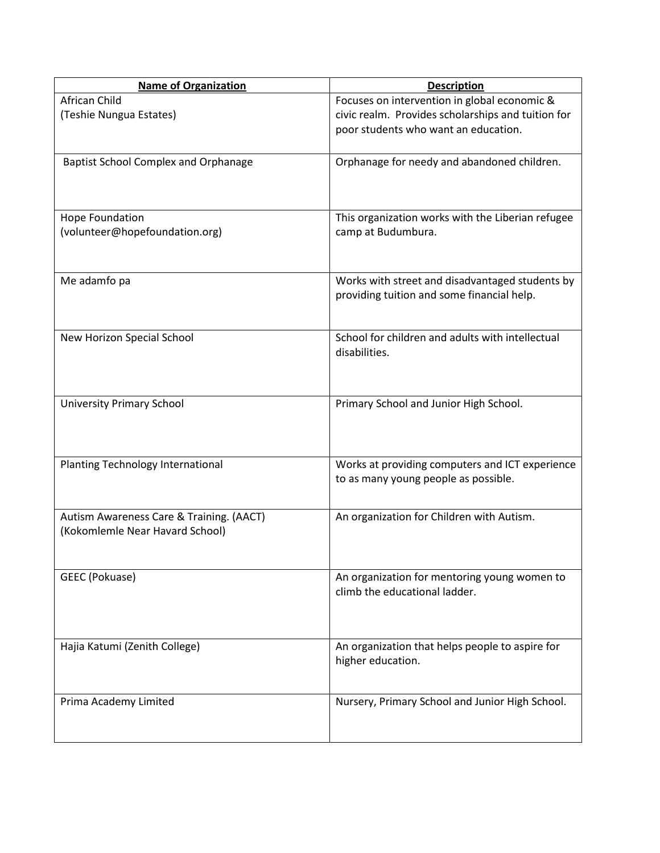| <b>Name of Organization</b>                                                 | <b>Description</b>                                                                                                                         |
|-----------------------------------------------------------------------------|--------------------------------------------------------------------------------------------------------------------------------------------|
| African Child<br>(Teshie Nungua Estates)                                    | Focuses on intervention in global economic &<br>civic realm. Provides scholarships and tuition for<br>poor students who want an education. |
| <b>Baptist School Complex and Orphanage</b>                                 | Orphanage for needy and abandoned children.                                                                                                |
| Hope Foundation<br>(volunteer@hopefoundation.org)                           | This organization works with the Liberian refugee<br>camp at Budumbura.                                                                    |
| Me adamfo pa                                                                | Works with street and disadvantaged students by<br>providing tuition and some financial help.                                              |
| New Horizon Special School                                                  | School for children and adults with intellectual<br>disabilities.                                                                          |
| <b>University Primary School</b>                                            | Primary School and Junior High School.                                                                                                     |
| Planting Technology International                                           | Works at providing computers and ICT experience<br>to as many young people as possible.                                                    |
| Autism Awareness Care & Training. (AACT)<br>(Kokomlemle Near Havard School) | An organization for Children with Autism.                                                                                                  |
| GEEC (Pokuase)                                                              | An organization for mentoring young women to<br>climb the educational ladder.                                                              |
| Hajia Katumi (Zenith College)                                               | An organization that helps people to aspire for<br>higher education.                                                                       |
| Prima Academy Limited                                                       | Nursery, Primary School and Junior High School.                                                                                            |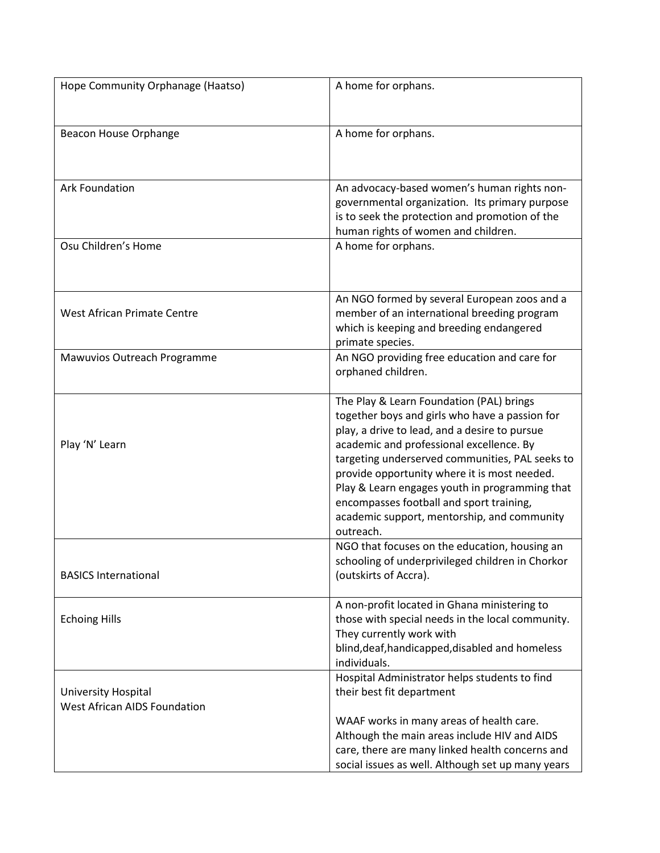| Hope Community Orphanage (Haatso)                          | A home for orphans.                                                                                                                                                                                                                                                                                                                                                                                                                                  |
|------------------------------------------------------------|------------------------------------------------------------------------------------------------------------------------------------------------------------------------------------------------------------------------------------------------------------------------------------------------------------------------------------------------------------------------------------------------------------------------------------------------------|
| Beacon House Orphange                                      | A home for orphans.                                                                                                                                                                                                                                                                                                                                                                                                                                  |
| <b>Ark Foundation</b>                                      | An advocacy-based women's human rights non-<br>governmental organization. Its primary purpose<br>is to seek the protection and promotion of the<br>human rights of women and children.                                                                                                                                                                                                                                                               |
| Osu Children's Home                                        | A home for orphans.                                                                                                                                                                                                                                                                                                                                                                                                                                  |
| West African Primate Centre                                | An NGO formed by several European zoos and a<br>member of an international breeding program<br>which is keeping and breeding endangered<br>primate species.                                                                                                                                                                                                                                                                                          |
| Mawuvios Outreach Programme                                | An NGO providing free education and care for<br>orphaned children.                                                                                                                                                                                                                                                                                                                                                                                   |
| Play 'N' Learn                                             | The Play & Learn Foundation (PAL) brings<br>together boys and girls who have a passion for<br>play, a drive to lead, and a desire to pursue<br>academic and professional excellence. By<br>targeting underserved communities, PAL seeks to<br>provide opportunity where it is most needed.<br>Play & Learn engages youth in programming that<br>encompasses football and sport training,<br>academic support, mentorship, and community<br>outreach. |
| <b>BASICS International</b>                                | NGO that focuses on the education, housing an<br>schooling of underprivileged children in Chorkor<br>(outskirts of Accra).                                                                                                                                                                                                                                                                                                                           |
| <b>Echoing Hills</b>                                       | A non-profit located in Ghana ministering to<br>those with special needs in the local community.<br>They currently work with<br>blind, deaf, handicapped, disabled and homeless<br>individuals.                                                                                                                                                                                                                                                      |
| University Hospital<br><b>West African AIDS Foundation</b> | Hospital Administrator helps students to find<br>their best fit department<br>WAAF works in many areas of health care.<br>Although the main areas include HIV and AIDS<br>care, there are many linked health concerns and<br>social issues as well. Although set up many years                                                                                                                                                                       |